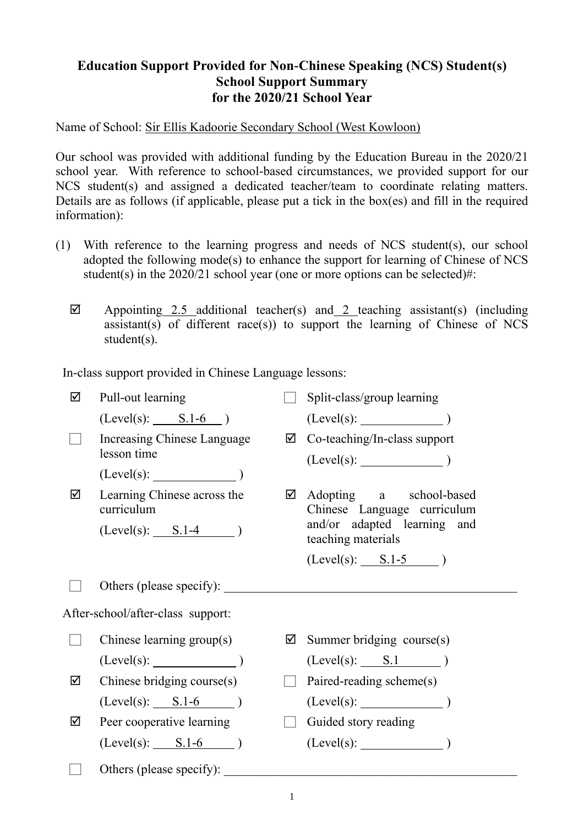## **Education Support Provided for Non-Chinese Speaking (NCS) Student(s) School Support Summary for the 2020/21 School Year**

Name of School: Sir Ellis Kadoorie Secondary School (West Kowloon)

Our school was provided with additional funding by the Education Bureau in the 2020/21 school year. With reference to school-based circumstances, we provided support for our NCS student(s) and assigned a dedicated teacher/team to coordinate relating matters. Details are as follows (if applicable, please put a tick in the box(es) and fill in the required information):

- (1) With reference to the learning progress and needs of NCS student(s), our school adopted the following mode(s) to enhance the support for learning of Chinese of NCS student(s) in the  $2020/21$  school year (one or more options can be selected)#:
	- $\boxtimes$  Appointing 2.5 additional teacher(s) and 2 teaching assistant(s) (including assistant(s) of different race(s)) to support the learning of Chinese of NCS student(s).

In-class support provided in Chinese Language lessons:

| ☑ | Pull-out learning                          |   | Split-class/group learning                                                            |
|---|--------------------------------------------|---|---------------------------------------------------------------------------------------|
|   | $(Level(s):$ $S.1-6$                       |   | $(Level(s):$ (Level(s): $)$                                                           |
|   | Increasing Chinese Language<br>lesson time |   | $\boxtimes$ Co-teaching/In-class support<br>$(Level(s):$ (Level(s): $)$               |
|   | (Level(s):                                 |   |                                                                                       |
| ☑ | Learning Chinese across the<br>curriculum  | ☑ | Adopting a school-based<br>Chinese Language curriculum<br>and/or adapted learning and |
|   | $(Level(s):$ $S.1-4$ )                     |   | teaching materials                                                                    |
|   |                                            |   | $(Level(s):$ $S.1-5$ )                                                                |
|   | Others (please specify):                   |   |                                                                                       |
|   | After-school/after-class support:          |   |                                                                                       |
|   | Chinese learning group(s)                  | ☑ | Summer bridging course(s)                                                             |
|   | $(Level(s):$ (Level(s):                    |   | $(Level(s):$ $S.1$ )                                                                  |
| ☑ | Chinese bridging course(s)                 |   | Paired-reading scheme(s)                                                              |
|   | $(Level(s):$ $S.1-6$ )                     |   | $(Level(s):$ (Level(s):                                                               |
| ☑ | Peer cooperative learning                  |   | Guided story reading                                                                  |
|   | $(Level(s):$ $S.1-6$ )                     |   | $(Level(s):$ $)$                                                                      |
|   | Others (please specify):                   |   |                                                                                       |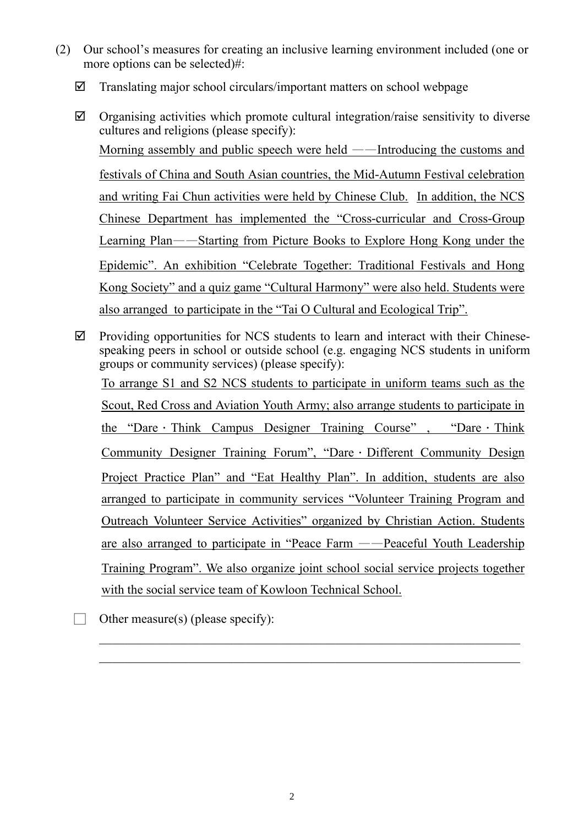- (2) Our school's measures for creating an inclusive learning environment included (one or more options can be selected)#:
	- $\boxtimes$  Translating major school circulars/important matters on school webpage
	- $\boxtimes$  Organising activities which promote cultural integration/raise sensitivity to diverse cultures and religions (please specify): Morning assembly and public speech were held ——Introducing the customs and festivals of China and South Asian countries, the Mid-Autumn Festival celebration and writing Fai Chun activities were held by Chinese Club. In addition, the NCS Chinese Department has implemented the "Cross-curricular and Cross-Group Learning Plan——Starting from Picture Books to Explore Hong Kong under the Epidemic". An exhibition "Celebrate Together: Traditional Festivals and Hong Kong Society" and a quiz game "Cultural Harmony" were also held. Students were also arranged to participate in the "Tai O Cultural and Ecological Trip".
	- $\boxtimes$  Providing opportunities for NCS students to learn and interact with their Chinesespeaking peers in school or outside school (e.g. engaging NCS students in uniform groups or community services) (please specify): To arrange S1 and S2 NCS students to participate in uniform teams such as the Scout, Red Cross and Aviation Youth Army; also arrange students to participate in the "Dare Think Campus Designer Training Course", "Dare Think Community Designer Training Forum", "Dare Different Community Design Project Practice Plan" and "Eat Healthy Plan". In addition, students are also arranged to participate in community services "Volunteer Training Program and Outreach Volunteer Service Activities" organized by Christian Action. Students are also arranged to participate in "Peace Farm ——Peaceful Youth Leadership Training Program". We also organize joint school social service projects together with the social service team of Kowloon Technical School.

Other measure(s) (please specify):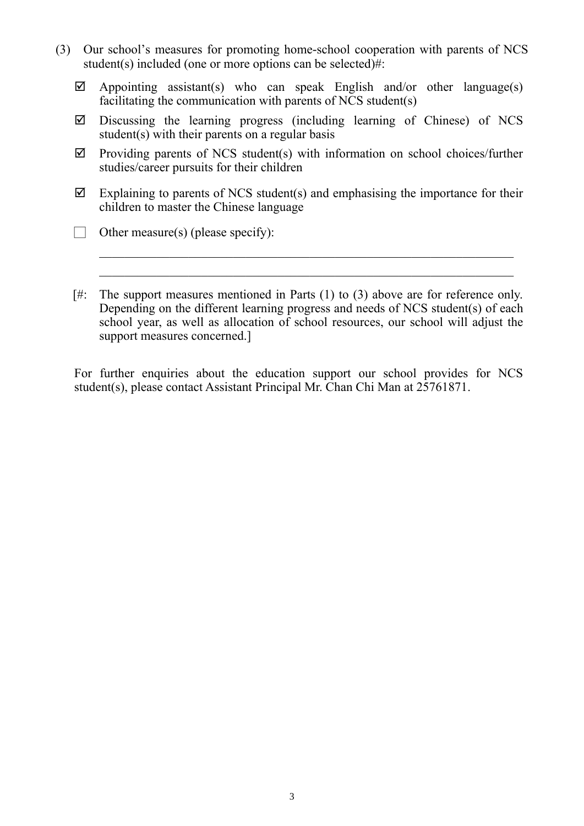- (3) Our school's measures for promoting home-school cooperation with parents of NCS student(s) included (one or more options can be selected)#:
	- $\boxtimes$  Appointing assistant(s) who can speak English and/or other language(s) facilitating the communication with parents of NCS student(s)
	- $\boxtimes$  Discussing the learning progress (including learning of Chinese) of NCS student(s) with their parents on a regular basis
	- $\boxtimes$  Providing parents of NCS student(s) with information on school choices/further studies/career pursuits for their children
	- $\boxtimes$  Explaining to parents of NCS student(s) and emphasising the importance for their children to master the Chinese language
	- Other measure(s) (please specify):
	- [#: The support measures mentioned in Parts (1) to (3) above are for reference only. Depending on the different learning progress and needs of NCS student(s) of each school year, as well as allocation of school resources, our school will adjust the support measures concerned.]

 $\mathcal{L}_\text{max} = \frac{1}{2} \sum_{i=1}^n \mathcal{L}_\text{max}(\mathbf{z}_i - \mathbf{z}_i)$ 

For further enquiries about the education support our school provides for NCS student(s), please contact Assistant Principal Mr. Chan Chi Man at 25761871.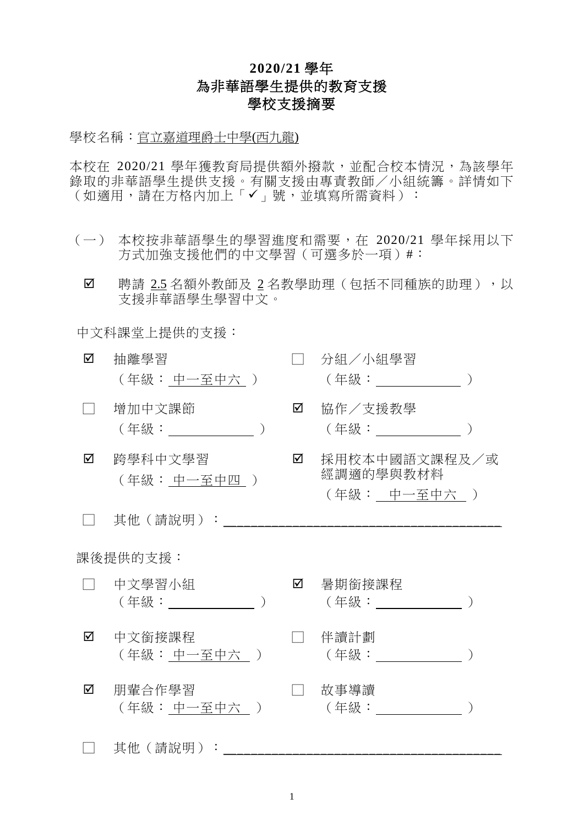## **2020/21** 學年 為非華語學生提供的教育支援 學校支援摘要

學校名稱:官立嘉道理爵士中學(西九龍)

本校在 2020/21 學年獲教育局提供額外撥款,並配合校本情況,為該學年 錄取的非華語學生提供支援。有關支援由專責教師/小組統籌。詳情如下 (如適用,請在方格內加上「✔」號,並填寫所需資料):

- (一) 本校按非華語學生的學習進度和需要,在 2020/21 學年採用以下 方式加強支援他們的中文學習(可選多於一項)#:
	- ☑ 聘請 2.5 名額外教師及 2 名教學助理(包括不同種族的助理),以 支援非華語學生學習中文。

中文科課堂上提供的支援:

| ☑        | 抽離學習<br>(年級: 中一至中六 )    |   | 分組/小組學習<br>(年級: ______________)            |  |  |
|----------|-------------------------|---|--------------------------------------------|--|--|
|          | 增加中文課節                  | ☑ | 協作/支援教學<br>(年級: ________                   |  |  |
| ☑        | 跨學科中文學習<br>(年級: 中一至中四 ) | ☑ | 採用校本中國語文課程及/或<br>經調適的學與教材料<br>(年級: 中一至中六 ) |  |  |
|          | 其他(請說明):                |   |                                            |  |  |
| 課後提供的支援: |                         |   |                                            |  |  |
|          | 中文學習小組<br>(年級: しゅうしょう)  | ☑ | 暑期銜接課程<br>(年級: ) しゅうしょう しんしょう              |  |  |
| ☑        | 中文銜接課程<br>(年級:中一至中六」)   |   | 伴讀計劃<br>(年級: ) (1)                         |  |  |
| ☑        | 朋輩合作學習<br>(年級: 中一至中六 )  |   | 故事導讀<br>( 年級 :                             |  |  |
|          | 其他(請說明):                |   |                                            |  |  |